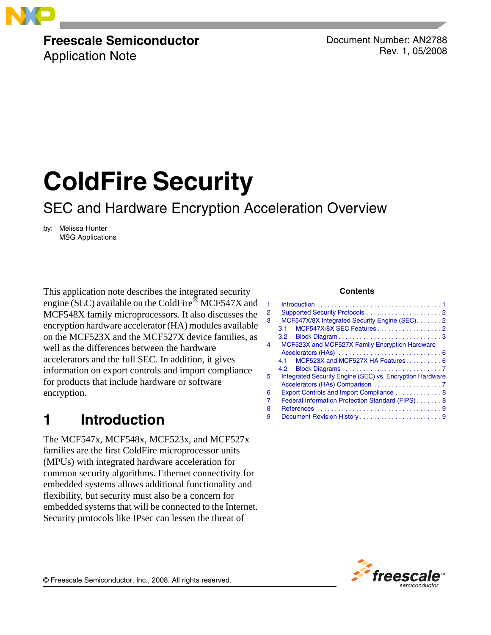

# **Freescale Semiconductor**

Application Note

Document Number: AN2788 Rev. 1, 05/2008

# **ColdFire Security**

# SEC and Hardware Encryption Acceleration Overview

by: Melissa Hunter MSG Applications

This application note describes the integrated security engine (SEC) available on the ColdFire<sup>®</sup> MCF547X and MCF548X family microprocessors. It also discusses the encryption hardware accelerator (HA) modules available on the MCF523X and the MCF527X device families, as well as the differences between the hardware accelerators and the full SEC. In addition, it gives information on export controls and import compliance for products that include hardware or software encryption.

# <span id="page-0-0"></span>**1 Introduction**

The MCF547x, MCF548x, MCF523x, and MCF527x families are the first ColdFire microprocessor units (MPUs) with integrated hardware acceleration for common security algorithms. Ethernet connectivity for embedded systems allows additional functionality and flexibility, but security must also be a concern for embedded systems that will be connected to the Internet. Security protocols like IPsec can lessen the threat of

#### **Contents**

| MCF547X/8X Integrated Security Engine (SEC). 2           |
|----------------------------------------------------------|
| MCF547X/8X SEC Features2<br>3.1                          |
| 3.2                                                      |
| MCF523X and MCF527X Family Encryption Hardware           |
|                                                          |
| MCF523X and MCF527X HA Features 6<br>4.1                 |
|                                                          |
| Integrated Security Engine (SEC) vs. Encryption Hardware |
|                                                          |
| Export Controls and Import Compliance 8                  |
| Federal Information Protection Standard (FIPS) 8         |
|                                                          |
|                                                          |
|                                                          |

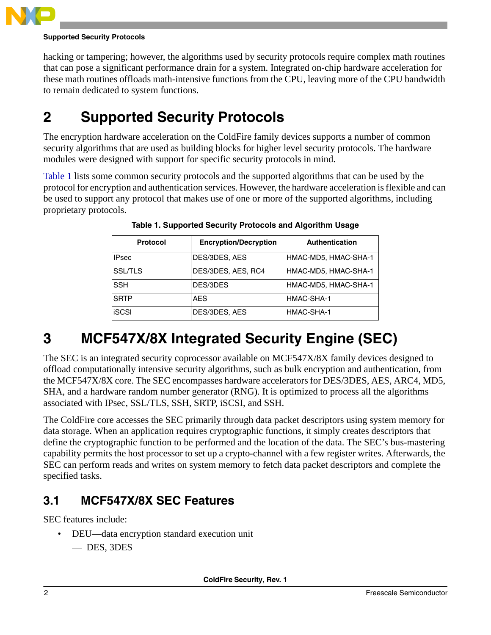

#### **Supported Security Protocols**

hacking or tampering; however, the algorithms used by security protocols require complex math routines that can pose a significant performance drain for a system. Integrated on-chip hardware acceleration for these math routines offloads math-intensive functions from the CPU, leaving more of the CPU bandwidth to remain dedicated to system functions.

# <span id="page-1-0"></span>**2 Supported Security Protocols**

The encryption hardware acceleration on the ColdFire family devices supports a number of common security algorithms that are used as building blocks for higher level security protocols. The hardware modules were designed with support for specific security protocols in mind.

<span id="page-1-3"></span>[Table 1](#page-1-3) lists some common security protocols and the supported algorithms that can be used by the protocol for encryption and authentication services. However, the hardware acceleration is flexible and can be used to support any protocol that makes use of one or more of the supported algorithms, including proprietary protocols.

| <b>Protocol</b> | <b>Encryption/Decryption</b> | <b>Authentication</b> |
|-----------------|------------------------------|-----------------------|
| <b>IPsec</b>    | DES/3DES, AES                | HMAC-MD5, HMAC-SHA-1  |
| <b>SSL/TLS</b>  | DES/3DES, AES, RC4           | HMAC-MD5, HMAC-SHA-1  |
| <b>SSH</b>      | DES/3DES                     | HMAC-MD5, HMAC-SHA-1  |
| <b>SRTP</b>     | <b>AES</b>                   | HMAC-SHA-1            |
| <b>ISCSI</b>    | DES/3DES, AES                | HMAC-SHA-1            |

**Table 1. Supported Security Protocols and Algorithm Usage**

# <span id="page-1-1"></span>**3 MCF547X/8X Integrated Security Engine (SEC)**

The SEC is an integrated security coprocessor available on MCF547X/8X family devices designed to offload computationally intensive security algorithms, such as bulk encryption and authentication, from the MCF547X/8X core. The SEC encompasses hardware accelerators for DES/3DES, AES, ARC4, MD5, SHA, and a hardware random number generator (RNG). It is optimized to process all the algorithms associated with IPsec, SSL/TLS, SSH, SRTP, iSCSI, and SSH.

The ColdFire core accesses the SEC primarily through data packet descriptors using system memory for data storage. When an application requires cryptographic functions, it simply creates descriptors that define the cryptographic function to be performed and the location of the data. The SEC's bus-mastering capability permits the host processor to set up a crypto-channel with a few register writes. Afterwards, the SEC can perform reads and writes on system memory to fetch data packet descriptors and complete the specified tasks.

### <span id="page-1-2"></span>**3.1 MCF547X/8X SEC Features**

SEC features include:

- DEU—data encryption standard execution unit
	- DES, 3DES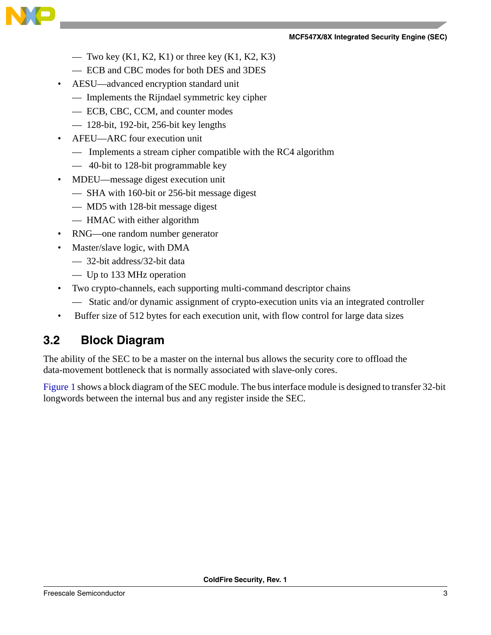#### **MCF547X/8X Integrated Security Engine (SEC)**



- Two key  $(K1, K2, K1)$  or three key  $(K1, K2, K3)$
- ECB and CBC modes for both DES and 3DES
- AESU—advanced encryption standard unit
	- Implements the Rijndael symmetric key cipher
	- ECB, CBC, CCM, and counter modes
	- $-$  128-bit, 192-bit, 256-bit key lengths
- AFEU—ARC four execution unit
	- Implements a stream cipher compatible with the RC4 algorithm
	- 40-bit to 128-bit programmable key
- MDEU—message digest execution unit
	- SHA with 160-bit or 256-bit message digest
	- MD5 with 128-bit message digest
	- HMAC with either algorithm
- RNG—one random number generator
- Master/slave logic, with DMA
	- 32-bit address/32-bit data
	- Up to 133 MHz operation
- Two crypto-channels, each supporting multi-command descriptor chains
	- Static and/or dynamic assignment of crypto-execution units via an integrated controller
- Buffer size of 512 bytes for each execution unit, with flow control for large data sizes

### <span id="page-2-0"></span>**3.2 Block Diagram**

The ability of the SEC to be a master on the internal bus allows the security core to offload the data-movement bottleneck that is normally associated with slave-only cores.

[Figure 1](#page-3-0) shows a block diagram of the SEC module. The bus interface module is designed to transfer 32-bit longwords between the internal bus and any register inside the SEC.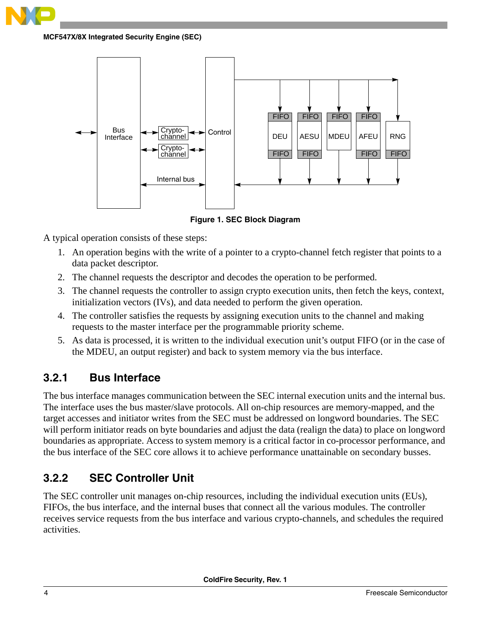

**MCF547X/8X Integrated Security Engine (SEC)**



**Figure 1. SEC Block Diagram**

<span id="page-3-0"></span>A typical operation consists of these steps:

- 1. An operation begins with the write of a pointer to a crypto-channel fetch register that points to a data packet descriptor.
- 2. The channel requests the descriptor and decodes the operation to be performed.
- 3. The channel requests the controller to assign crypto execution units, then fetch the keys, context, initialization vectors (IVs), and data needed to perform the given operation.
- 4. The controller satisfies the requests by assigning execution units to the channel and making requests to the master interface per the programmable priority scheme.
- 5. As data is processed, it is written to the individual execution unit's output FIFO (or in the case of the MDEU, an output register) and back to system memory via the bus interface.

### **3.2.1 Bus Interface**

The bus interface manages communication between the SEC internal execution units and the internal bus. The interface uses the bus master/slave protocols. All on-chip resources are memory-mapped, and the target accesses and initiator writes from the SEC must be addressed on longword boundaries. The SEC will perform initiator reads on byte boundaries and adjust the data (realign the data) to place on longword boundaries as appropriate. Access to system memory is a critical factor in co-processor performance, and the bus interface of the SEC core allows it to achieve performance unattainable on secondary busses.

### **3.2.2 SEC Controller Unit**

The SEC controller unit manages on-chip resources, including the individual execution units (EUs), FIFOs, the bus interface, and the internal buses that connect all the various modules. The controller receives service requests from the bus interface and various crypto-channels, and schedules the required activities.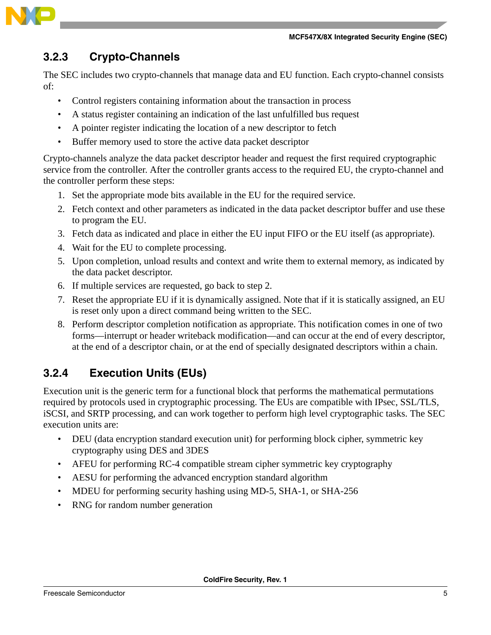

### **3.2.3 Crypto-Channels**

The SEC includes two crypto-channels that manage data and EU function. Each crypto-channel consists of:

- Control registers containing information about the transaction in process
- A status register containing an indication of the last unfulfilled bus request
- A pointer register indicating the location of a new descriptor to fetch
- Buffer memory used to store the active data packet descriptor

Crypto-channels analyze the data packet descriptor header and request the first required cryptographic service from the controller. After the controller grants access to the required EU, the crypto-channel and the controller perform these steps:

- 1. Set the appropriate mode bits available in the EU for the required service.
- 2. Fetch context and other parameters as indicated in the data packet descriptor buffer and use these to program the EU.
- 3. Fetch data as indicated and place in either the EU input FIFO or the EU itself (as appropriate).
- 4. Wait for the EU to complete processing.
- 5. Upon completion, unload results and context and write them to external memory, as indicated by the data packet descriptor.
- 6. If multiple services are requested, go back to step 2.
- 7. Reset the appropriate EU if it is dynamically assigned. Note that if it is statically assigned, an EU is reset only upon a direct command being written to the SEC.
- 8. Perform descriptor completion notification as appropriate. This notification comes in one of two forms—interrupt or header writeback modification—and can occur at the end of every descriptor, at the end of a descriptor chain, or at the end of specially designated descriptors within a chain.

### **3.2.4 Execution Units (EUs)**

Execution unit is the generic term for a functional block that performs the mathematical permutations required by protocols used in cryptographic processing. The EUs are compatible with IPsec, SSL/TLS, iSCSI, and SRTP processing, and can work together to perform high level cryptographic tasks. The SEC execution units are:

- DEU (data encryption standard execution unit) for performing block cipher, symmetric key cryptography using DES and 3DES
- AFEU for performing RC-4 compatible stream cipher symmetric key cryptography
- AESU for performing the advanced encryption standard algorithm
- MDEU for performing security hashing using MD-5, SHA-1, or SHA-256
- RNG for random number generation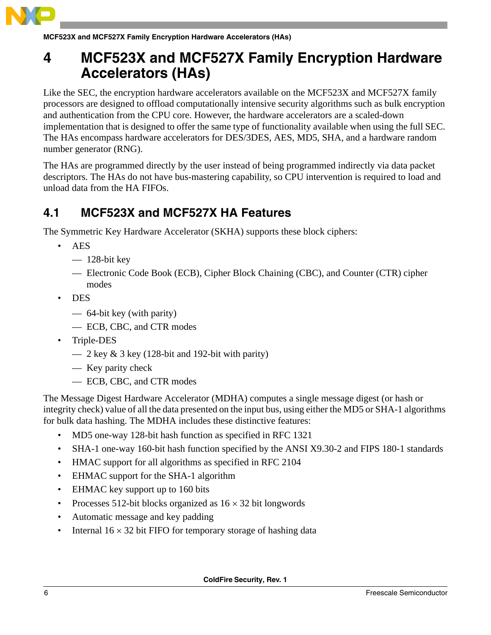

**MCF523X and MCF527X Family Encryption Hardware Accelerators (HAs)**

# <span id="page-5-0"></span>**4 MCF523X and MCF527X Family Encryption Hardware Accelerators (HAs)**

Like the SEC, the encryption hardware accelerators available on the MCF523X and MCF527X family processors are designed to offload computationally intensive security algorithms such as bulk encryption and authentication from the CPU core. However, the hardware accelerators are a scaled-down implementation that is designed to offer the same type of functionality available when using the full SEC. The HAs encompass hardware accelerators for DES/3DES, AES, MD5, SHA, and a hardware random number generator (RNG).

The HAs are programmed directly by the user instead of being programmed indirectly via data packet descriptors. The HAs do not have bus-mastering capability, so CPU intervention is required to load and unload data from the HA FIFOs.

### <span id="page-5-1"></span>**4.1 MCF523X and MCF527X HA Features**

The Symmetric Key Hardware Accelerator (SKHA) supports these block ciphers:

- AES
	- $-$  128-bit key
	- Electronic Code Book (ECB), Cipher Block Chaining (CBC), and Counter (CTR) cipher modes
- DES
	- 64-bit key (with parity)
	- ECB, CBC, and CTR modes
- Triple-DES
	- $-2 \text{ key } \& 3 \text{ key } (128 \text{-bit and } 192 \text{-bit with parity})$
	- Key parity check
	- ECB, CBC, and CTR modes

The Message Digest Hardware Accelerator (MDHA) computes a single message digest (or hash or integrity check) value of all the data presented on the input bus, using either the MD5 or SHA-1 algorithms for bulk data hashing. The MDHA includes these distinctive features:

- MD5 one-way 128-bit hash function as specified in RFC 1321
- SHA-1 one-way 160-bit hash function specified by the ANSI X9.30-2 and FIPS 180-1 standards
- HMAC support for all algorithms as specified in RFC 2104
- EHMAC support for the SHA-1 algorithm
- EHMAC key support up to 160 bits
- Processes 512-bit blocks organized as  $16 \times 32$  bit longwords
- Automatic message and key padding
- Internal  $16 \times 32$  bit FIFO for temporary storage of hashing data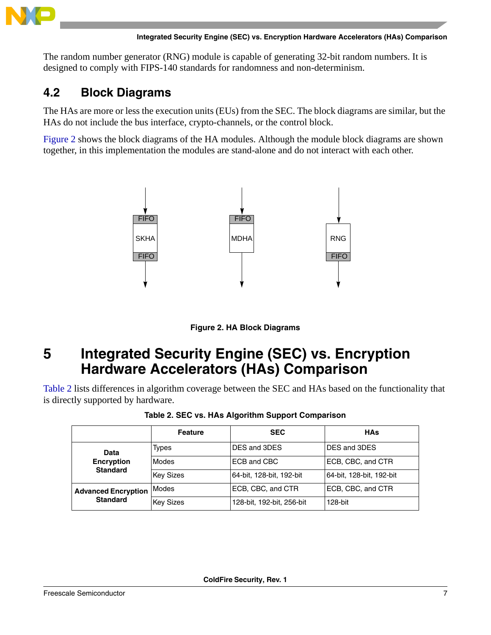

The random number generator (RNG) module is capable of generating 32-bit random numbers. It is designed to comply with FIPS-140 standards for randomness and non-determinism.

### <span id="page-6-0"></span>**4.2 Block Diagrams**

The HAs are more or less the execution units (EUs) from the SEC. The block diagrams are similar, but the HAs do not include the bus interface, crypto-channels, or the control block.

[Figure 2](#page-6-2) shows the block diagrams of the HA modules. Although the module block diagrams are shown together, in this implementation the modules are stand-alone and do not interact with each other.





# <span id="page-6-2"></span><span id="page-6-1"></span>**5 Integrated Security Engine (SEC) vs. Encryption Hardware Accelerators (HAs) Comparison**

<span id="page-6-3"></span>[Table 2](#page-6-3) lists differences in algorithm coverage between the SEC and HAs based on the functionality that is directly supported by hardware.

| Table 2. SEC vs. HAs Algorithm Support Comparison |  |
|---------------------------------------------------|--|
|                                                   |  |

|                                               | <b>Feature</b>   | <b>SEC</b>                | <b>HAs</b>               |
|-----------------------------------------------|------------------|---------------------------|--------------------------|
| Data                                          | Types            | DES and 3DES              | DES and 3DES             |
| <b>Encryption</b>                             | Modes            | ECB and CBC               | ECB, CBC, and CTR        |
| <b>Standard</b>                               | <b>Key Sizes</b> | 64-bit, 128-bit, 192-bit  | 64-bit, 128-bit, 192-bit |
| <b>Advanced Encryption</b><br><b>Standard</b> | Modes            | ECB, CBC, and CTR         | ECB, CBC, and CTR        |
|                                               | <b>Key Sizes</b> | 128-bit, 192-bit, 256-bit | 128-bit                  |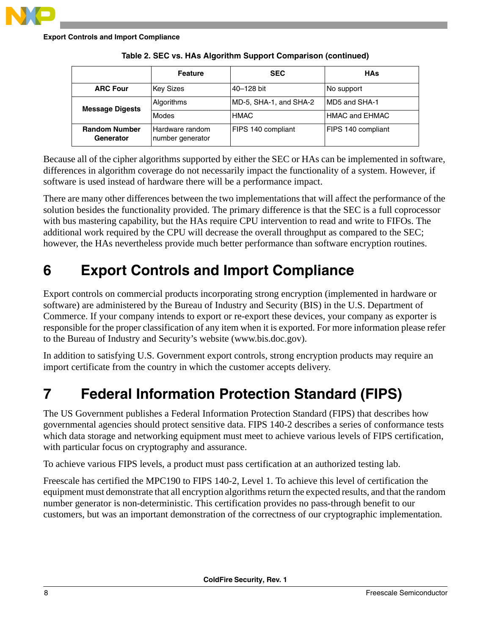

|                                   | <b>Feature</b>                      | <b>SEC</b>             | <b>HAs</b>            |
|-----------------------------------|-------------------------------------|------------------------|-----------------------|
| <b>ARC Four</b>                   | <b>Key Sizes</b>                    | 40-128 bit             | No support            |
| <b>Message Digests</b>            | Algorithms                          | MD-5, SHA-1, and SHA-2 | IMD5 and SHA-1        |
|                                   | Modes                               | <b>HMAC</b>            | <b>HMAC and EHMAC</b> |
| <b>Random Number</b><br>Generator | Hardware random<br>number generator | FIPS 140 compliant     | FIPS 140 compliant    |

Because all of the cipher algorithms supported by either the SEC or HAs can be implemented in software, differences in algorithm coverage do not necessarily impact the functionality of a system. However, if software is used instead of hardware there will be a performance impact.

There are many other differences between the two implementations that will affect the performance of the solution besides the functionality provided. The primary difference is that the SEC is a full coprocessor with bus mastering capability, but the HAs require CPU intervention to read and write to FIFOs. The additional work required by the CPU will decrease the overall throughput as compared to the SEC; however, the HAs nevertheless provide much better performance than software encryption routines.

# <span id="page-7-0"></span>**6 Export Controls and Import Compliance**

Export controls on commercial products incorporating strong encryption (implemented in hardware or software) are administered by the Bureau of Industry and Security (BIS) in the U.S. Department of Commerce. If your company intends to export or re-export these devices, your company as exporter is responsible for the proper classification of any item when it is exported. For more information please refer to the Bureau of Industry and Security's website (www.bis.doc.gov).

In addition to satisfying U.S. Government export controls, strong encryption products may require an import certificate from the country in which the customer accepts delivery.

# <span id="page-7-1"></span>**7 Federal Information Protection Standard (FIPS)**

The US Government publishes a Federal Information Protection Standard (FIPS) that describes how governmental agencies should protect sensitive data. FIPS 140-2 describes a series of conformance tests which data storage and networking equipment must meet to achieve various levels of FIPS certification, with particular focus on cryptography and assurance.

To achieve various FIPS levels, a product must pass certification at an authorized testing lab.

Freescale has certified the MPC190 to FIPS 140-2, Level 1. To achieve this level of certification the equipment must demonstrate that all encryption algorithms return the expected results, and that the random number generator is non-deterministic. This certification provides no pass-through benefit to our customers, but was an important demonstration of the correctness of our cryptographic implementation.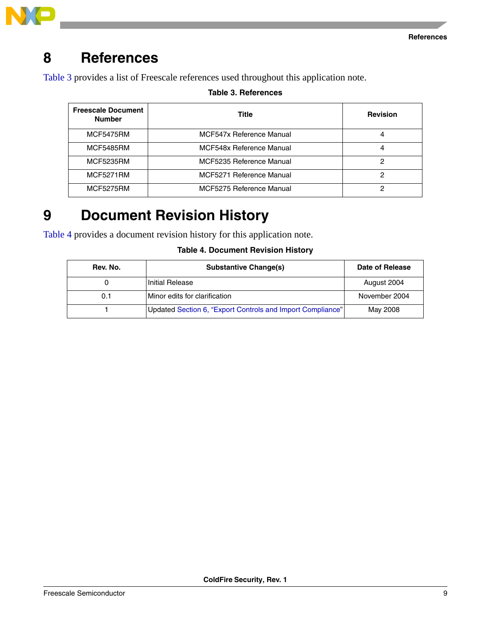

# <span id="page-8-0"></span>**8 References**

<span id="page-8-2"></span>[Table 3](#page-8-2) provides a list of Freescale references used throughout this application note.

### **Table 3. References**

| <b>Freescale Document</b><br><b>Number</b> | Title                    | <b>Revision</b> |
|--------------------------------------------|--------------------------|-----------------|
| <b>MCF5475RM</b>                           | MCF547x Reference Manual |                 |
| <b>MCF5485RM</b>                           | MCF548x Reference Manual | 4               |
| <b>MCF5235RM</b>                           | MCF5235 Reference Manual | 2               |
| <b>MCF5271RM</b>                           | MCF5271 Reference Manual |                 |
| <b>MCF5275RM</b>                           | MCF5275 Reference Manual |                 |

# <span id="page-8-1"></span>**9 Document Revision History**

<span id="page-8-3"></span>[Table 4](#page-8-3) provides a document revision history for this application note.

### **Table 4. Document Revision History**

| Rev. No. | <b>Substantive Change(s)</b>                               | Date of Release |
|----------|------------------------------------------------------------|-----------------|
|          | Initial Release                                            | August 2004     |
| 0.1      | Minor edits for clarification                              | November 2004   |
|          | Updated Section 6, "Export Controls and Import Compliance" | May 2008        |